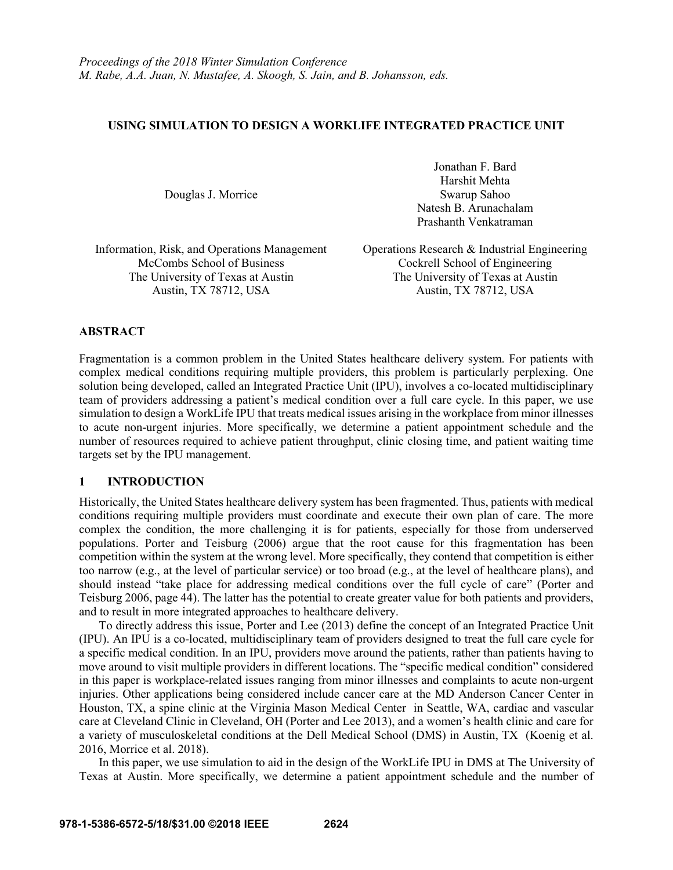### **USING SIMULATION TO DESIGN A WORKLIFE INTEGRATED PRACTICE UNIT**

Douglas J. Morrice

Jonathan F. Bard Harshit Mehta Swarup Sahoo Natesh B. Arunachalam Prashanth Venkatraman

Information, Risk, and Operations Management Operations Research & Industrial Engineering

McCombs School of Business Cockrell School of Engineering The University of Texas at Austin<br>Austin, TX 78712, USA<br>Austin, TX 78712, USA<br>Austin, TX 78712, USA Austin, TX 78712, USA

# **ABSTRACT**

Fragmentation is a common problem in the United States healthcare delivery system. For patients with complex medical conditions requiring multiple providers, this problem is particularly perplexing. One solution being developed, called an Integrated Practice Unit (IPU), involves a co-located multidisciplinary team of providers addressing a patient's medical condition over a full care cycle. In this paper, we use simulation to design a WorkLife IPU that treats medical issues arising in the workplace from minor illnesses to acute non-urgent injuries. More specifically, we determine a patient appointment schedule and the number of resources required to achieve patient throughput, clinic closing time, and patient waiting time targets set by the IPU management.

# **1 INTRODUCTION**

Historically, the United States healthcare delivery system has been fragmented. Thus, patients with medical conditions requiring multiple providers must coordinate and execute their own plan of care. The more complex the condition, the more challenging it is for patients, especially for those from underserved populations. Porter and Teisburg (2006) argue that the root cause for this fragmentation has been competition within the system at the wrong level. More specifically, they contend that competition is either too narrow (e.g., at the level of particular service) or too broad (e.g., at the level of healthcare plans), and should instead "take place for addressing medical conditions over the full cycle of care" (Porter and Teisburg 2006, page 44). The latter has the potential to create greater value for both patients and providers, and to result in more integrated approaches to healthcare delivery.

To directly address this issue, Porter and Lee (2013) define the concept of an Integrated Practice Unit (IPU). An IPU is a co-located, multidisciplinary team of providers designed to treat the full care cycle for a specific medical condition. In an IPU, providers move around the patients, rather than patients having to move around to visit multiple providers in different locations. The "specific medical condition" considered in this paper is workplace-related issues ranging from minor illnesses and complaints to acute non-urgent injuries. Other applications being considered include cancer care at the MD Anderson Cancer Center in Houston, TX, a spine clinic at the Virginia Mason Medical Center in Seattle, WA, cardiac and vascular care at Cleveland Clinic in Cleveland, OH (Porter and Lee 2013), and a women's health clinic and care for a variety of musculoskeletal conditions at the Dell Medical School (DMS) in Austin, TX (Koenig et al. 2016, Morrice et al. 2018).

In this paper, we use simulation to aid in the design of the WorkLife IPU in DMS at The University of Texas at Austin. More specifically, we determine a patient appointment schedule and the number of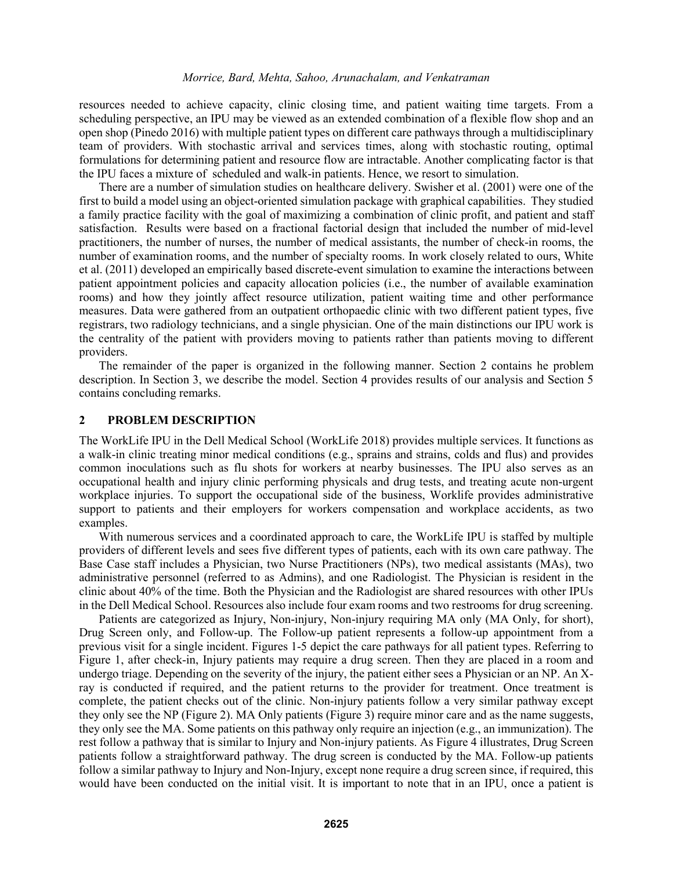resources needed to achieve capacity, clinic closing time, and patient waiting time targets. From a scheduling perspective, an IPU may be viewed as an extended combination of a flexible flow shop and an open shop (Pinedo 2016) with multiple patient types on different care pathways through a multidisciplinary team of providers. With stochastic arrival and services times, along with stochastic routing, optimal formulations for determining patient and resource flow are intractable. Another complicating factor is that the IPU faces a mixture of scheduled and walk-in patients. Hence, we resort to simulation.

There are a number of simulation studies on healthcare delivery. Swisher et al. (2001) were one of the first to build a model using an object-oriented simulation package with graphical capabilities. They studied a family practice facility with the goal of maximizing a combination of clinic profit, and patient and staff satisfaction. Results were based on a fractional factorial design that included the number of mid-level practitioners, the number of nurses, the number of medical assistants, the number of check-in rooms, the number of examination rooms, and the number of specialty rooms. In work closely related to ours, White et al. (2011) developed an empirically based discrete-event simulation to examine the interactions between patient appointment policies and capacity allocation policies (i.e., the number of available examination rooms) and how they jointly affect resource utilization, patient waiting time and other performance measures. Data were gathered from an outpatient orthopaedic clinic with two different patient types, five registrars, two radiology technicians, and a single physician. One of the main distinctions our IPU work is the centrality of the patient with providers moving to patients rather than patients moving to different providers.

The remainder of the paper is organized in the following manner. Section 2 contains he problem description. In Section 3, we describe the model. Section 4 provides results of our analysis and Section 5 contains concluding remarks.

### **2 PROBLEM DESCRIPTION**

The WorkLife IPU in the Dell Medical School (WorkLife 2018) provides multiple services. It functions as a walk-in clinic treating minor medical conditions (e.g., sprains and strains, colds and flus) and provides common inoculations such as flu shots for workers at nearby businesses. The IPU also serves as an occupational health and injury clinic performing physicals and drug tests, and treating acute non-urgent workplace injuries. To support the occupational side of the business, Worklife provides administrative support to patients and their employers for workers compensation and workplace accidents, as two examples.

With numerous services and a coordinated approach to care, the WorkLife IPU is staffed by multiple providers of different levels and sees five different types of patients, each with its own care pathway. The Base Case staff includes a Physician, two Nurse Practitioners (NPs), two medical assistants (MAs), two administrative personnel (referred to as Admins), and one Radiologist. The Physician is resident in the clinic about 40% of the time. Both the Physician and the Radiologist are shared resources with other IPUs in the Dell Medical School. Resources also include four exam rooms and two restrooms for drug screening.

Patients are categorized as Injury, Non-injury, Non-injury requiring MA only (MA Only, for short), Drug Screen only, and Follow-up. The Follow-up patient represents a follow-up appointment from a previous visit for a single incident. Figures 1-5 depict the care pathways for all patient types. Referring to Figure 1, after check-in, Injury patients may require a drug screen. Then they are placed in a room and undergo triage. Depending on the severity of the injury, the patient either sees a Physician or an NP. An Xray is conducted if required, and the patient returns to the provider for treatment. Once treatment is complete, the patient checks out of the clinic. Non-injury patients follow a very similar pathway except they only see the NP (Figure 2). MA Only patients (Figure 3) require minor care and as the name suggests, they only see the MA. Some patients on this pathway only require an injection (e.g., an immunization). The rest follow a pathway that is similar to Injury and Non-injury patients. As Figure 4 illustrates, Drug Screen patients follow a straightforward pathway. The drug screen is conducted by the MA. Follow-up patients follow a similar pathway to Injury and Non-Injury, except none require a drug screen since, if required, this would have been conducted on the initial visit. It is important to note that in an IPU, once a patient is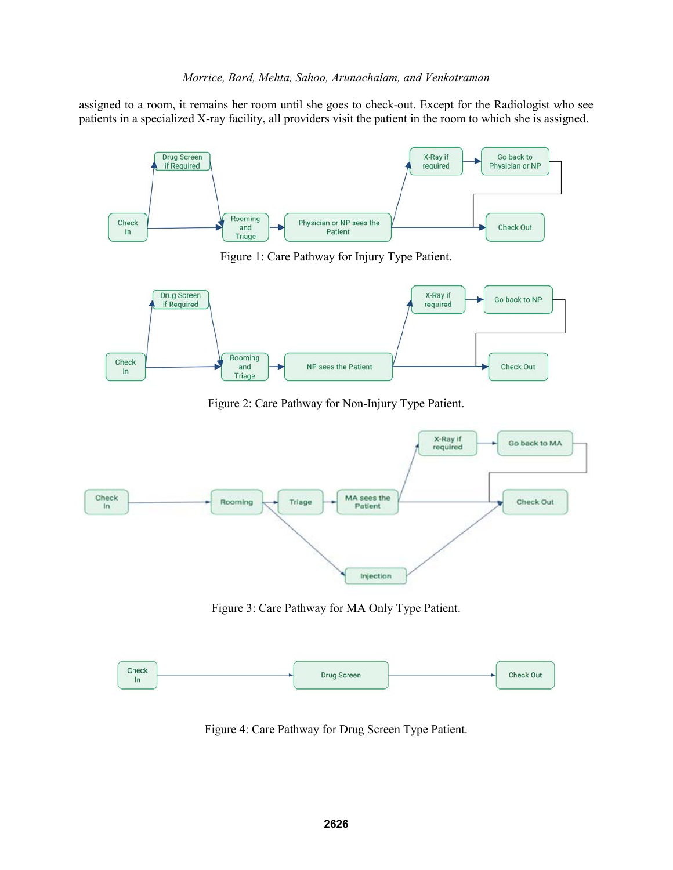assigned to a room, it remains her room until she goes to check-out. Except for the Radiologist who see patients in a specialized X-ray facility, all providers visit the patient in the room to which she is assigned.



Figure 1: Care Pathway for Injury Type Patient.



Figure 2: Care Pathway for Non-Injury Type Patient.



Figure 3: Care Pathway for MA Only Type Patient.



Figure 4: Care Pathway for Drug Screen Type Patient.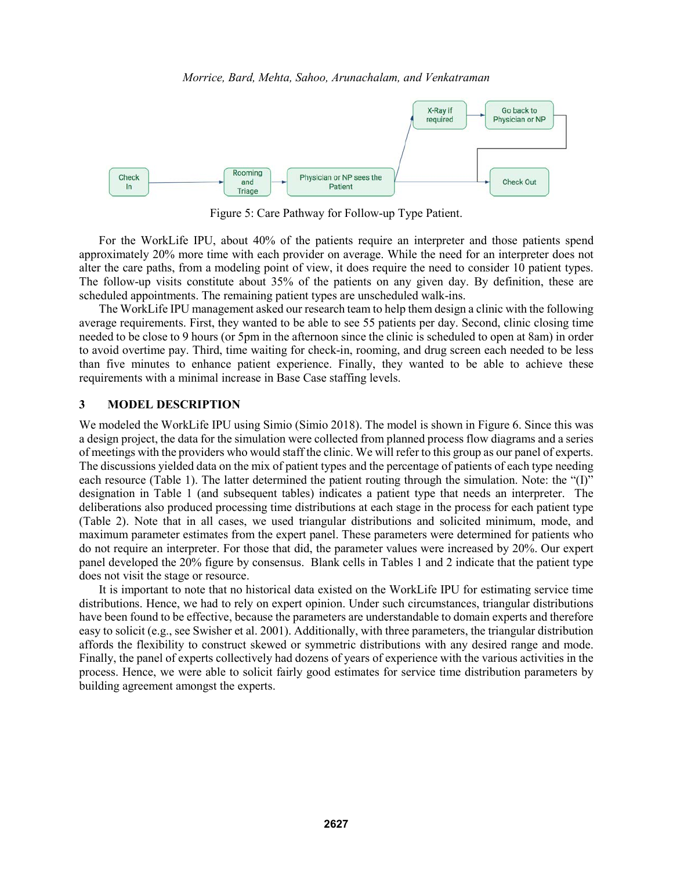

Figure 5: Care Pathway for Follow-up Type Patient.

For the WorkLife IPU, about 40% of the patients require an interpreter and those patients spend approximately 20% more time with each provider on average. While the need for an interpreter does not alter the care paths, from a modeling point of view, it does require the need to consider 10 patient types. The follow-up visits constitute about 35% of the patients on any given day. By definition, these are scheduled appointments. The remaining patient types are unscheduled walk-ins.

The WorkLife IPU management asked our research team to help them design a clinic with the following average requirements. First, they wanted to be able to see 55 patients per day. Second, clinic closing time needed to be close to 9 hours (or 5pm in the afternoon since the clinic is scheduled to open at 8am) in order to avoid overtime pay. Third, time waiting for check-in, rooming, and drug screen each needed to be less than five minutes to enhance patient experience. Finally, they wanted to be able to achieve these requirements with a minimal increase in Base Case staffing levels.

# **3 MODEL DESCRIPTION**

We modeled the WorkLife IPU using Simio (Simio 2018). The model is shown in Figure 6. Since this was a design project, the data for the simulation were collected from planned process flow diagrams and a series of meetings with the providers who would staff the clinic. We will refer to this group as our panel of experts. The discussions yielded data on the mix of patient types and the percentage of patients of each type needing each resource (Table 1). The latter determined the patient routing through the simulation. Note: the "(I)" designation in Table 1 (and subsequent tables) indicates a patient type that needs an interpreter. The deliberations also produced processing time distributions at each stage in the process for each patient type (Table 2). Note that in all cases, we used triangular distributions and solicited minimum, mode, and maximum parameter estimates from the expert panel. These parameters were determined for patients who do not require an interpreter. For those that did, the parameter values were increased by 20%. Our expert panel developed the 20% figure by consensus. Blank cells in Tables 1 and 2 indicate that the patient type does not visit the stage or resource.

It is important to note that no historical data existed on the WorkLife IPU for estimating service time distributions. Hence, we had to rely on expert opinion. Under such circumstances, triangular distributions have been found to be effective, because the parameters are understandable to domain experts and therefore easy to solicit (e.g., see Swisher et al. 2001). Additionally, with three parameters, the triangular distribution affords the flexibility to construct skewed or symmetric distributions with any desired range and mode. Finally, the panel of experts collectively had dozens of years of experience with the various activities in the process. Hence, we were able to solicit fairly good estimates for service time distribution parameters by building agreement amongst the experts.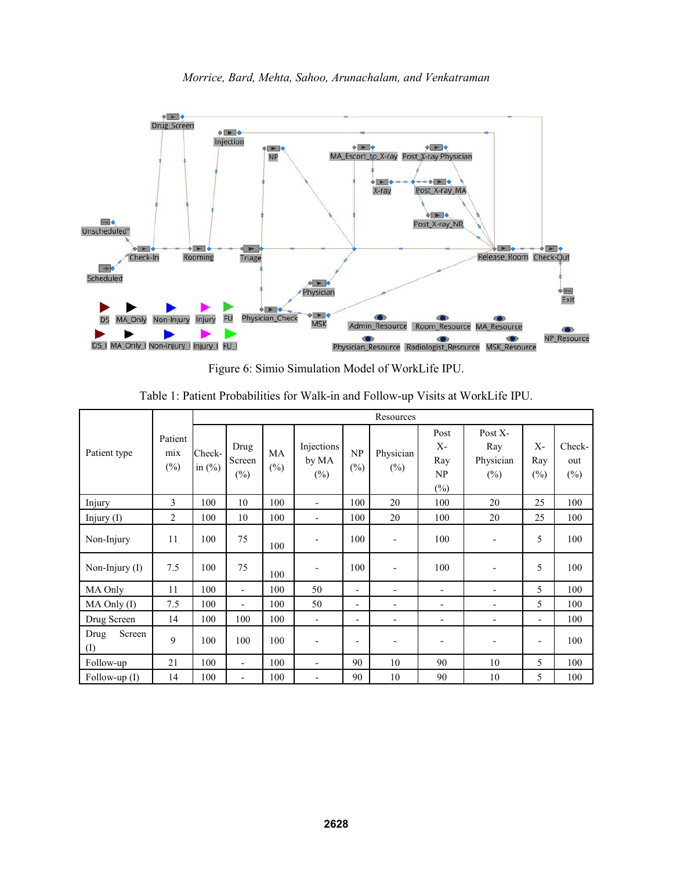

*Morrice, Bard, Mehta, Sahoo, Arunachalam, and Venkatraman*

Figure 6: Simio Simulation Model of WorkLife IPU.

|                             |                          | Resources           |                          |                     |                               |                          |                     |                                             |                                       |                        |                         |
|-----------------------------|--------------------------|---------------------|--------------------------|---------------------|-------------------------------|--------------------------|---------------------|---------------------------------------------|---------------------------------------|------------------------|-------------------------|
| Patient type                | Patient<br>mix<br>$(\%)$ | Check-<br>in $(\%)$ | Drug<br>Screen<br>$(\%)$ | <b>MA</b><br>$(\%)$ | Injections<br>by MA<br>$(\%)$ | NP<br>$(\%)$             | Physician<br>$(\%)$ | Post<br>$X -$<br>Ray<br>NP<br>$\frac{0}{0}$ | Post X-<br>Ray<br>Physician<br>$(\%)$ | $X -$<br>Ray<br>$(\%)$ | Check-<br>out<br>$(\%)$ |
| Injury                      | 3                        | 100                 | 10                       | 100                 | $\blacksquare$                | 100                      | 20                  | 100                                         | 20                                    | 25                     | 100                     |
| Injury $(I)$                | $\overline{2}$           | 100                 | 10                       | 100                 | $\overline{\phantom{a}}$      | 100                      | 20                  | 100                                         | 20                                    | 25                     | 100                     |
| Non-Injury                  | 11                       | 100                 | 75                       | 100                 | $\overline{\phantom{a}}$      | 100                      |                     | 100                                         | $\overline{\phantom{a}}$              | 5                      | 100                     |
| Non-Injury (I)              | 7.5                      | 100                 | 75                       | 100                 | $\overline{\phantom{a}}$      | 100                      |                     | 100                                         | $\overline{\phantom{0}}$              | 5                      | 100                     |
| MA Only                     | 11                       | 100                 | $\blacksquare$           | 100                 | 50                            | $\blacksquare$           | -                   | $\overline{\phantom{a}}$                    | -                                     | 5                      | 100                     |
| MA Only (I)                 | 7.5                      | 100                 | $\overline{\phantom{a}}$ | 100                 | 50                            | $\blacksquare$           | -                   | $\blacksquare$                              | -                                     | 5                      | 100                     |
| Drug Screen                 | 14                       | 100                 | 100                      | 100                 | $\overline{\phantom{a}}$      | $\overline{\phantom{a}}$ | -                   | $\overline{\phantom{a}}$                    | $\overline{\phantom{0}}$              | Ξ.                     | 100                     |
| Screen<br>Drug<br>$\rm (I)$ | 9                        | 100                 | 100                      | 100                 | $\overline{\phantom{a}}$      | $\overline{\phantom{a}}$ |                     | $\overline{\phantom{0}}$                    |                                       | $\blacksquare$         | 100                     |
| Follow-up                   | 21                       | 100                 | $\overline{\phantom{a}}$ | 100                 | $\blacksquare$                | 90                       | 10                  | 90                                          | 10                                    | 5                      | 100                     |
| Follow-up $(I)$             | 14                       | 100                 | $\overline{\phantom{a}}$ | 100                 | $\overline{a}$                | 90                       | 10                  | 90                                          | 10                                    | 5                      | 100                     |

Table 1: Patient Probabilities for Walk-in and Follow-up Visits at WorkLife IPU.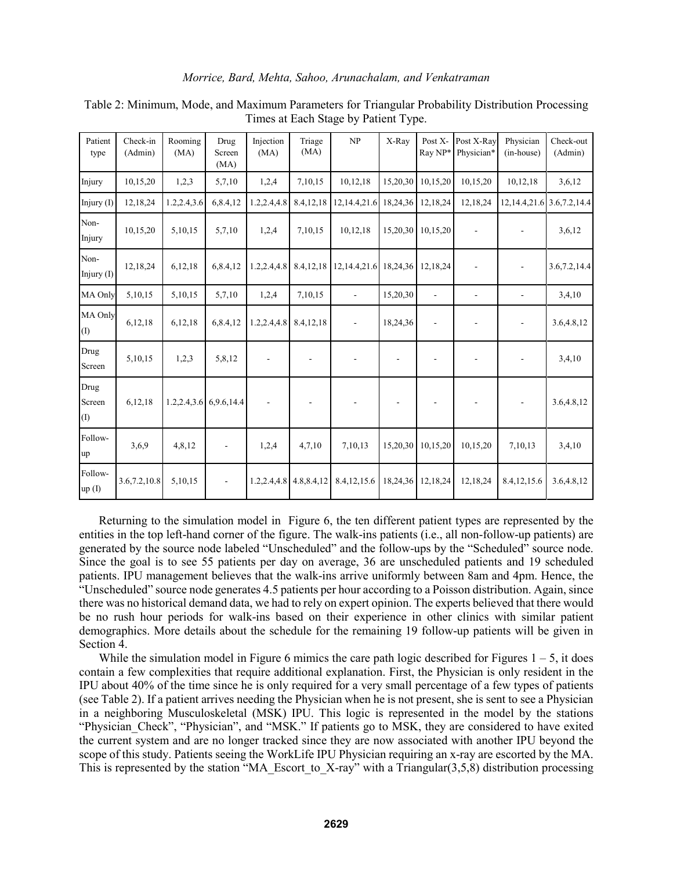| Patient<br>type              | Check-in<br>(Admin) | Rooming<br>(MA) | Drug<br>Screen<br>(MA) | Injection<br>(MA)        | Triage<br>(MA)           | NP                       | X-Ray          | Post X-<br>Ray NP*       | Post X-Ray<br>Physician*     | Physician<br>(in-house)  | Check-out<br>(Admin) |
|------------------------------|---------------------|-----------------|------------------------|--------------------------|--------------------------|--------------------------|----------------|--------------------------|------------------------------|--------------------------|----------------------|
| Injury                       | 10,15,20            | 1,2,3           | 5,7,10                 | 1,2,4                    | 7,10,15                  | 10,12,18                 | 15,20,30       | 10,15,20                 | 10,15,20                     | 10,12,18                 | 3,6,12               |
| Injury (I)                   | 12,18,24            | 1.2,2.4,3.6     | 6,8.4,12               | 1.2,2.4,4.8              | 8.4, 12, 18              | 12, 14, 4, 21. 6         | 18,24,36       | 12,18,24                 | 12,18,24                     | 12, 14.4, 21.6           | 3.6, 7.2, 14.4       |
| Non-<br>Injury               | 10,15,20            | 5,10,15         | 5,7,10                 | 1,2,4                    | 7,10,15                  | 10,12,18                 | 15,20,30       | 10,15,20                 |                              |                          | 3,6,12               |
| Non-<br>Injury $(I)$         | 12,18,24            | 6,12,18         | 6,8.4,12               | 1.2,2.4,4.8              | 8.4,12,18                | 12, 14.4, 21.6           | 18,24,36       | 12,18,24                 |                              | $\overline{\phantom{a}}$ | 3.6, 7.2, 14.4       |
| MA Only                      | 5,10,15             | 5,10,15         | 5,7,10                 | 1,2,4                    | 7,10,15                  | $\overline{\phantom{a}}$ | 15,20,30       | $\overline{\phantom{a}}$ | $\qquad \qquad \blacksquare$ |                          | 3,4,10               |
| MA Only<br>$\left( 1\right)$ | 6,12,18             | 6,12,18         | 6,8.4,12               | 1.2, 2.4, 4.8            | 8.4,12,18                |                          | 18,24,36       |                          |                              |                          | 3.6,4.8,12           |
| Drug<br>Screen               | 5,10,15             | 1,2,3           | 5,8,12                 | $\overline{\phantom{a}}$ | $\overline{\phantom{a}}$ |                          | $\overline{a}$ |                          |                              | $\overline{a}$           | 3,4,10               |
| Drug<br>Screen<br>(1)        | 6,12,18             |                 | 1.2,2.4,3.6 6,9.6,14.4 |                          |                          |                          |                |                          |                              |                          | 3.6,4.8,12           |
| Follow-<br>up                | 3,6,9               | 4,8,12          |                        | 1,2,4                    | 4,7,10                   | 7,10,13                  | 15,20,30       | 10,15,20                 | 10,15,20                     | 7,10,13                  | 3,4,10               |
| Follow-<br>up(I)             | 3.6, 7.2, 10.8      | 5,10,15         |                        | 1.2,2.4,4.8              | 4.8,8.4,12               | 8.4, 12, 15.6            | 18,24,36       | 12,18,24                 | 12,18,24                     | 8.4, 12, 15.6            | 3.6,4.8,12           |

Table 2: Minimum, Mode, and Maximum Parameters for Triangular Probability Distribution Processing Times at Each Stage by Patient Type.

Returning to the simulation model in Figure 6, the ten different patient types are represented by the entities in the top left-hand corner of the figure. The walk-ins patients (i.e., all non-follow-up patients) are generated by the source node labeled "Unscheduled" and the follow-ups by the "Scheduled" source node. Since the goal is to see 55 patients per day on average, 36 are unscheduled patients and 19 scheduled patients. IPU management believes that the walk-ins arrive uniformly between 8am and 4pm. Hence, the "Unscheduled" source node generates 4.5 patients per hour according to a Poisson distribution. Again, since there was no historical demand data, we had to rely on expert opinion. The experts believed that there would be no rush hour periods for walk-ins based on their experience in other clinics with similar patient demographics. More details about the schedule for the remaining 19 follow-up patients will be given in Section 4.

While the simulation model in Figure 6 mimics the care path logic described for Figures  $1 - 5$ , it does contain a few complexities that require additional explanation. First, the Physician is only resident in the IPU about 40% of the time since he is only required for a very small percentage of a few types of patients (see Table 2). If a patient arrives needing the Physician when he is not present, she is sent to see a Physician in a neighboring Musculoskeletal (MSK) IPU. This logic is represented in the model by the stations "Physician Check", "Physician", and "MSK." If patients go to MSK, they are considered to have exited the current system and are no longer tracked since they are now associated with another IPU beyond the scope of this study. Patients seeing the WorkLife IPU Physician requiring an x-ray are escorted by the MA. This is represented by the station "MA\_Escort\_to\_X-ray" with a Triangular(3,5,8) distribution processing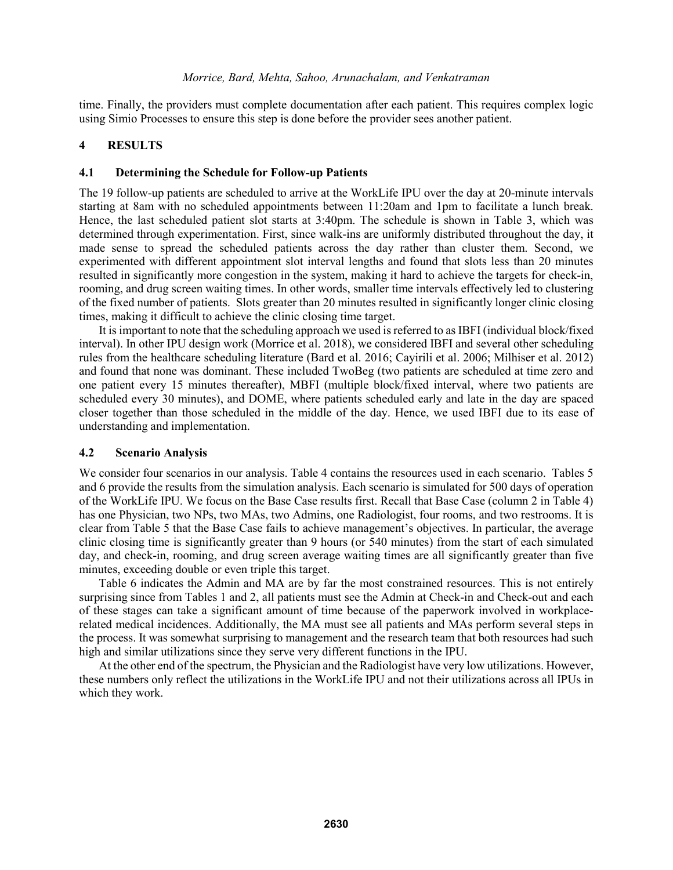time. Finally, the providers must complete documentation after each patient. This requires complex logic using Simio Processes to ensure this step is done before the provider sees another patient.

# **4 RESULTS**

## **4.1 Determining the Schedule for Follow-up Patients**

The 19 follow-up patients are scheduled to arrive at the WorkLife IPU over the day at 20-minute intervals starting at 8am with no scheduled appointments between 11:20am and 1pm to facilitate a lunch break. Hence, the last scheduled patient slot starts at 3:40pm. The schedule is shown in Table 3, which was determined through experimentation. First, since walk-ins are uniformly distributed throughout the day, it made sense to spread the scheduled patients across the day rather than cluster them. Second, we experimented with different appointment slot interval lengths and found that slots less than 20 minutes resulted in significantly more congestion in the system, making it hard to achieve the targets for check-in, rooming, and drug screen waiting times. In other words, smaller time intervals effectively led to clustering of the fixed number of patients. Slots greater than 20 minutes resulted in significantly longer clinic closing times, making it difficult to achieve the clinic closing time target.

It is important to note that the scheduling approach we used is referred to as IBFI (individual block/fixed interval). In other IPU design work (Morrice et al. 2018), we considered IBFI and several other scheduling rules from the healthcare scheduling literature (Bard et al. 2016; Cayirili et al. 2006; Milhiser et al. 2012) and found that none was dominant. These included TwoBeg (two patients are scheduled at time zero and one patient every 15 minutes thereafter), MBFI (multiple block/fixed interval, where two patients are scheduled every 30 minutes), and DOME, where patients scheduled early and late in the day are spaced closer together than those scheduled in the middle of the day. Hence, we used IBFI due to its ease of understanding and implementation.

### **4.2 Scenario Analysis**

We consider four scenarios in our analysis. Table 4 contains the resources used in each scenario. Tables 5 and 6 provide the results from the simulation analysis. Each scenario is simulated for 500 days of operation of the WorkLife IPU. We focus on the Base Case results first. Recall that Base Case (column 2 in Table 4) has one Physician, two NPs, two MAs, two Admins, one Radiologist, four rooms, and two restrooms. It is clear from Table 5 that the Base Case fails to achieve management's objectives. In particular, the average clinic closing time is significantly greater than 9 hours (or 540 minutes) from the start of each simulated day, and check-in, rooming, and drug screen average waiting times are all significantly greater than five minutes, exceeding double or even triple this target.

Table 6 indicates the Admin and MA are by far the most constrained resources. This is not entirely surprising since from Tables 1 and 2, all patients must see the Admin at Check-in and Check-out and each of these stages can take a significant amount of time because of the paperwork involved in workplacerelated medical incidences. Additionally, the MA must see all patients and MAs perform several steps in the process. It was somewhat surprising to management and the research team that both resources had such high and similar utilizations since they serve very different functions in the IPU.

At the other end of the spectrum, the Physician and the Radiologist have very low utilizations. However, these numbers only reflect the utilizations in the WorkLife IPU and not their utilizations across all IPUs in which they work.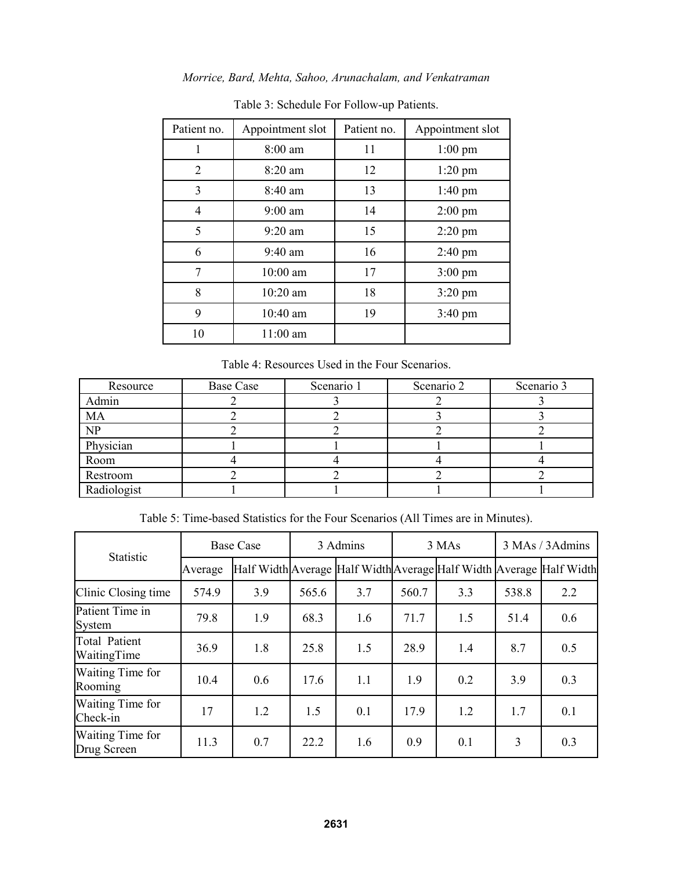|  |  |  |  | Morrice, Bard, Mehta, Sahoo, Arunachalam, and Venkatraman |  |  |
|--|--|--|--|-----------------------------------------------------------|--|--|
|--|--|--|--|-----------------------------------------------------------|--|--|

| Patient no. | Appointment slot  | Patient no. | Appointment slot  |
|-------------|-------------------|-------------|-------------------|
|             | 8:00 am           | 11          | $1:00$ pm         |
| 2           | $8:20$ am         | 12          | $1:20$ pm         |
| 3           | $8:40 \text{ am}$ | 13          | $1:40$ pm         |
| 4           | $9:00$ am         | 14          | $2:00$ pm         |
| 5           | $9:20$ am         | 15          | $2:20$ pm         |
| 6           | $9:40$ am         | 16          | $2:40 \text{ pm}$ |
| 7           | 10:00 am          | 17          | $3:00 \text{ pm}$ |
| 8           | $10:20$ am        | 18          | $3:20$ pm         |
| 9           | 10:40 am          | 19          | $3:40 \text{ pm}$ |
| 10          | 11:00 am          |             |                   |

Table 3: Schedule For Follow-up Patients.

Table 4: Resources Used in the Four Scenarios.

| Resource    | <b>Base Case</b> | Scenario 1 | Scenario 2 | Scenario 3 |
|-------------|------------------|------------|------------|------------|
| Admin       |                  |            |            |            |
| <b>MA</b>   |                  |            |            |            |
| NP          |                  |            |            |            |
| Physician   |                  |            |            |            |
| Room        |                  |            |            |            |
| Restroom    |                  |            |            |            |
| Radiologist |                  |            |            |            |

Table 5: Time-based Statistics for the Four Scenarios (All Times are in Minutes).

| <b>Statistic</b>                    |         | <b>Base Case</b> |       | 3 Admins |       | 3 MAs                                                               | 3 MAs / 3 Admins |     |
|-------------------------------------|---------|------------------|-------|----------|-------|---------------------------------------------------------------------|------------------|-----|
|                                     | Average |                  |       |          |       | Half Width Average Half Width Average Half Width Average Half Width |                  |     |
| Clinic Closing time                 | 574.9   | 3.9              | 565.6 | 3.7      | 560.7 | 3.3                                                                 | 538.8            | 2.2 |
| Patient Time in<br>System           | 79.8    | 1.9              | 68.3  | 1.6      | 71.7  | 1.5                                                                 | 51.4             | 0.6 |
| <b>Total Patient</b><br>WaitingTime | 36.9    | 1.8              | 25.8  | 1.5      | 28.9  | 1.4                                                                 | 8.7              | 0.5 |
| Waiting Time for<br>Rooming         | 10.4    | 0.6              | 17.6  | 1.1      | 1.9   | 0.2                                                                 | 3.9              | 0.3 |
| Waiting Time for<br>Check-in        | 17      | 1.2              | 1.5   | 0.1      | 17.9  | 1.2                                                                 | 1.7              | 0.1 |
| Waiting Time for<br>Drug Screen     | 11.3    | 0.7              | 22.2  | 1.6      | 0.9   | 0.1                                                                 | 3                | 0.3 |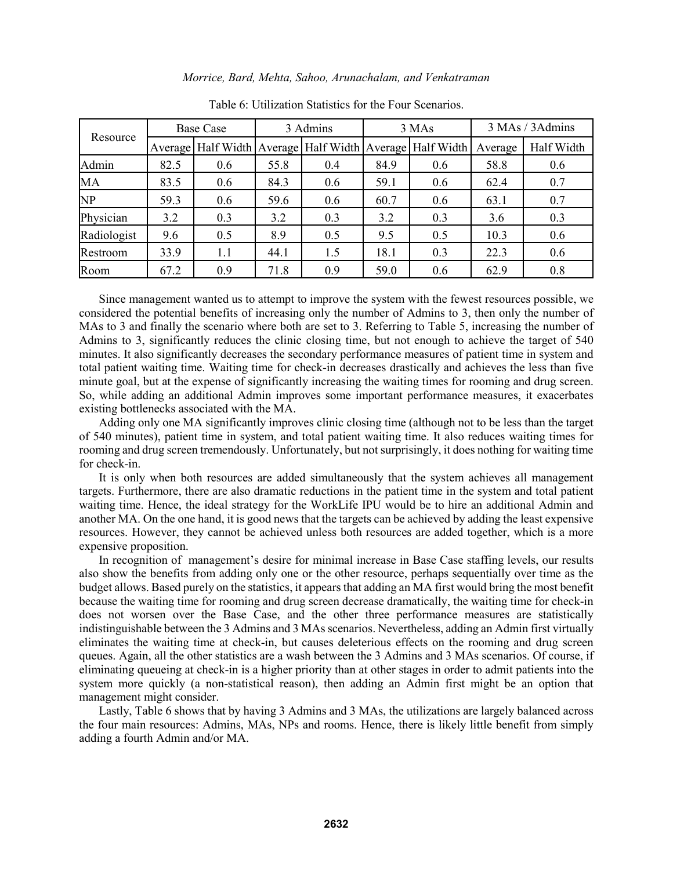|             |      | <b>Base Case</b> |      | 3 Admins |      | 3 MAs                                                              | 3 MAs / 3 Admins |            |  |
|-------------|------|------------------|------|----------|------|--------------------------------------------------------------------|------------------|------------|--|
| Resource    |      |                  |      |          |      | Average   Half Width   Average   Half Width   Average   Half Width | Average          | Half Width |  |
| Admin       | 82.5 | 0.6              | 55.8 | 0.4      | 84.9 | 0.6                                                                | 58.8             | 0.6        |  |
| MA          | 83.5 | 0.6              | 84.3 | 0.6      | 59.1 | 0.6                                                                | 62.4             | 0.7        |  |
| NP          | 59.3 | 0.6              | 59.6 | 0.6      | 60.7 | 0.6                                                                | 63.1             | 0.7        |  |
| Physician   | 3.2  | 0.3              | 3.2  | 0.3      | 3.2  | 0.3                                                                | 3.6              | 0.3        |  |
| Radiologist | 9.6  | 0.5              | 8.9  | 0.5      | 9.5  | 0.5                                                                | 10.3             | 0.6        |  |
| Restroom    | 33.9 | 1.1              | 44.1 | 1.5      | 18.1 | 0.3                                                                | 22.3             | 0.6        |  |
| Room        | 67.2 | 0.9              | 71.8 | 0.9      | 59.0 | 0.6                                                                | 62.9             | 0.8        |  |

Table 6: Utilization Statistics for the Four Scenarios.

Since management wanted us to attempt to improve the system with the fewest resources possible, we considered the potential benefits of increasing only the number of Admins to 3, then only the number of MAs to 3 and finally the scenario where both are set to 3. Referring to Table 5, increasing the number of Admins to 3, significantly reduces the clinic closing time, but not enough to achieve the target of 540 minutes. It also significantly decreases the secondary performance measures of patient time in system and total patient waiting time. Waiting time for check-in decreases drastically and achieves the less than five minute goal, but at the expense of significantly increasing the waiting times for rooming and drug screen. So, while adding an additional Admin improves some important performance measures, it exacerbates existing bottlenecks associated with the MA.

Adding only one MA significantly improves clinic closing time (although not to be less than the target of 540 minutes), patient time in system, and total patient waiting time. It also reduces waiting times for rooming and drug screen tremendously. Unfortunately, but not surprisingly, it does nothing for waiting time for check-in.

It is only when both resources are added simultaneously that the system achieves all management targets. Furthermore, there are also dramatic reductions in the patient time in the system and total patient waiting time. Hence, the ideal strategy for the WorkLife IPU would be to hire an additional Admin and another MA. On the one hand, it is good news that the targets can be achieved by adding the least expensive resources. However, they cannot be achieved unless both resources are added together, which is a more expensive proposition.

In recognition of management's desire for minimal increase in Base Case staffing levels, our results also show the benefits from adding only one or the other resource, perhaps sequentially over time as the budget allows. Based purely on the statistics, it appears that adding an MA first would bring the most benefit because the waiting time for rooming and drug screen decrease dramatically, the waiting time for check-in does not worsen over the Base Case, and the other three performance measures are statistically indistinguishable between the 3 Admins and 3 MAs scenarios. Nevertheless, adding an Admin first virtually eliminates the waiting time at check-in, but causes deleterious effects on the rooming and drug screen queues. Again, all the other statistics are a wash between the 3 Admins and 3 MAs scenarios. Of course, if eliminating queueing at check-in is a higher priority than at other stages in order to admit patients into the system more quickly (a non-statistical reason), then adding an Admin first might be an option that management might consider.

Lastly, Table 6 shows that by having 3 Admins and 3 MAs, the utilizations are largely balanced across the four main resources: Admins, MAs, NPs and rooms. Hence, there is likely little benefit from simply adding a fourth Admin and/or MA.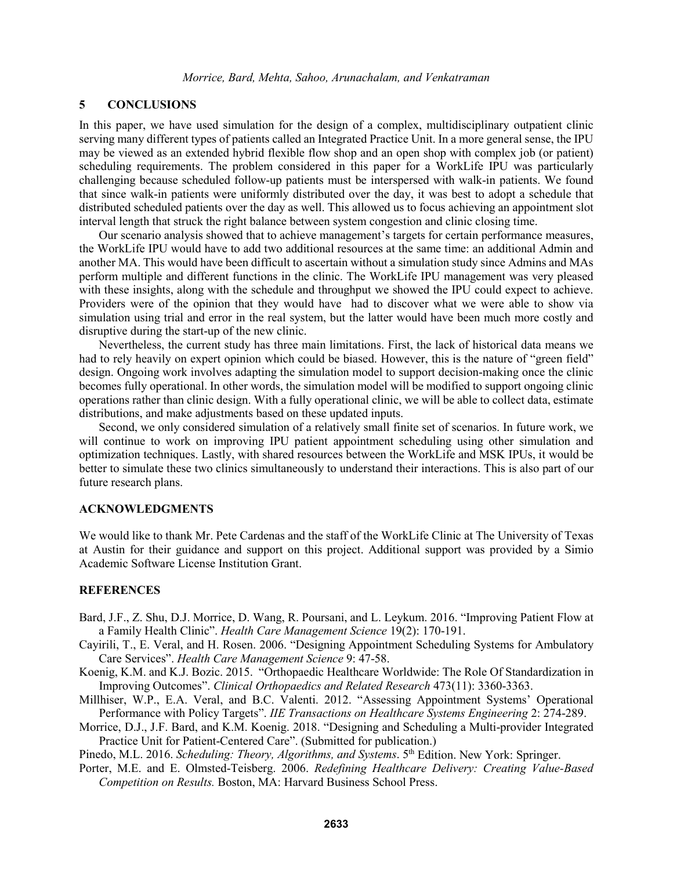# **5 CONCLUSIONS**

In this paper, we have used simulation for the design of a complex, multidisciplinary outpatient clinic serving many different types of patients called an Integrated Practice Unit. In a more general sense, the IPU may be viewed as an extended hybrid flexible flow shop and an open shop with complex job (or patient) scheduling requirements. The problem considered in this paper for a WorkLife IPU was particularly challenging because scheduled follow-up patients must be interspersed with walk-in patients. We found that since walk-in patients were uniformly distributed over the day, it was best to adopt a schedule that distributed scheduled patients over the day as well. This allowed us to focus achieving an appointment slot interval length that struck the right balance between system congestion and clinic closing time.

Our scenario analysis showed that to achieve management's targets for certain performance measures, the WorkLife IPU would have to add two additional resources at the same time: an additional Admin and another MA. This would have been difficult to ascertain without a simulation study since Admins and MAs perform multiple and different functions in the clinic. The WorkLife IPU management was very pleased with these insights, along with the schedule and throughput we showed the IPU could expect to achieve. Providers were of the opinion that they would have had to discover what we were able to show via simulation using trial and error in the real system, but the latter would have been much more costly and disruptive during the start-up of the new clinic.

Nevertheless, the current study has three main limitations. First, the lack of historical data means we had to rely heavily on expert opinion which could be biased. However, this is the nature of "green field" design. Ongoing work involves adapting the simulation model to support decision-making once the clinic becomes fully operational. In other words, the simulation model will be modified to support ongoing clinic operations rather than clinic design. With a fully operational clinic, we will be able to collect data, estimate distributions, and make adjustments based on these updated inputs.

Second, we only considered simulation of a relatively small finite set of scenarios. In future work, we will continue to work on improving IPU patient appointment scheduling using other simulation and optimization techniques. Lastly, with shared resources between the WorkLife and MSK IPUs, it would be better to simulate these two clinics simultaneously to understand their interactions. This is also part of our future research plans.

# **ACKNOWLEDGMENTS**

We would like to thank Mr. Pete Cardenas and the staff of the WorkLife Clinic at The University of Texas at Austin for their guidance and support on this project. Additional support was provided by a Simio Academic Software License Institution Grant.

### **REFERENCES**

- Bard, J.F., Z. Shu, D.J. Morrice, D. Wang, R. Poursani, and L. Leykum. 2016. "Improving Patient Flow at a Family Health Clinic". *Health Care Management Science* 19(2): 170-191.
- Cayirili, T., E. Veral, and H. Rosen. 2006. "Designing Appointment Scheduling Systems for Ambulatory Care Services". *Health Care Management Science* 9: 47-58.
- Koenig, K.M. and K.J. Bozic. 2015. "Orthopaedic Healthcare Worldwide: The Role Of Standardization in Improving Outcomes". *Clinical Orthopaedics and Related Research* 473(11): 3360-3363.
- Millhiser, W.P., E.A. Veral, and B.C. Valenti. 2012. "Assessing Appointment Systems' Operational Performance with Policy Targets". *IIE Transactions on Healthcare Systems Engineering* 2: 274-289.
- Morrice, D.J., J.F. Bard, and K.M. Koenig. 2018. "Designing and Scheduling a Multi-provider Integrated Practice Unit for Patient-Centered Care". (Submitted for publication.)

Pinedo, M.L. 2016. *Scheduling: Theory, Algorithms, and Systems*. 5<sup>th</sup> Edition. New York: Springer.

Porter, M.E. and E. Olmsted-Teisberg. 2006. *Redefining Healthcare Delivery: Creating Value-Based Competition on Results.* Boston, MA: Harvard Business School Press.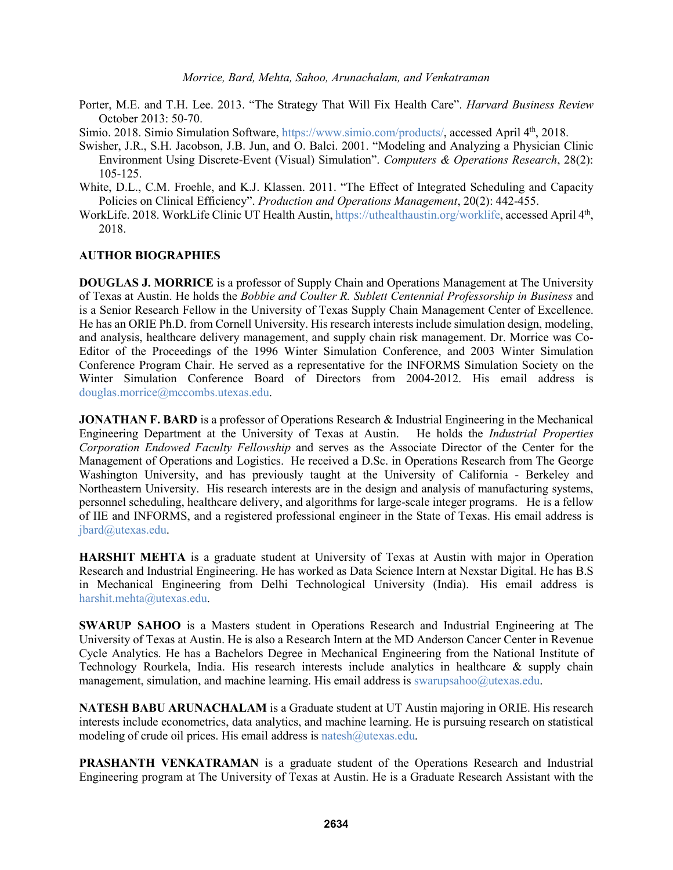Porter, M.E. and T.H. Lee. 2013. "The Strategy That Will Fix Health Care". *Harvard Business Review* October 2013: 50-70.

Simio. 2018. Simio Simulation Software, https://www.simio.com/products/, accessed April 4<sup>th</sup>, 2018.

- Swisher, J.R., S.H. Jacobson, J.B. Jun, and O. Balci. 2001. "Modeling and Analyzing a Physician Clinic Environment Using Discrete-Event (Visual) Simulation". *Computers & Operations Research*, 28(2): 105-125.
- White, D.L., C.M. Froehle, and K.J. Klassen. 2011. "The Effect of Integrated Scheduling and Capacity Policies on Clinical Efficiency". *Production and Operations Management*, 20(2): 442-455.
- WorkLife. 2018. WorkLife Clinic UT Health Austin, https://uthealthaustin.org/worklife, accessed April 4th, 2018.

#### **AUTHOR BIOGRAPHIES**

**DOUGLAS J. MORRICE** is a professor of Supply Chain and Operations Management at The University of Texas at Austin. He holds the *Bobbie and Coulter R. Sublett Centennial Professorship in Business* and is a Senior Research Fellow in the University of Texas Supply Chain Management Center of Excellence. He has an ORIE Ph.D. from Cornell University. His research interests include simulation design, modeling, and analysis, healthcare delivery management, and supply chain risk management. Dr. Morrice was Co-Editor of the Proceedings of the 1996 Winter Simulation Conference, and 2003 Winter Simulation Conference Program Chair. He served as a representative for the INFORMS Simulation Society on the Winter Simulation Conference Board of Directors from 2004-2012. His email address is douglas.morrice@mccombs.utexas.edu.

**JONATHAN F. BARD** is a professor of Operations Research & Industrial Engineering in the Mechanical Engineering Department at the University of Texas at Austin. He holds the *Industrial Properties Corporation Endowed Faculty Fellowship* and serves as the Associate Director of the Center for the Management of Operations and Logistics. He received a D.Sc. in Operations Research from The George Washington University, and has previously taught at the University of California - Berkeley and Northeastern University. His research interests are in the design and analysis of manufacturing systems, personnel scheduling, healthcare delivery, and algorithms for large-scale integer programs. He is a fellow of IIE and INFORMS, and a registered professional engineer in the State of Texas. His email address is jbard@utexas.edu.

**HARSHIT MEHTA** is a graduate student at University of Texas at Austin with major in Operation Research and Industrial Engineering. He has worked as Data Science Intern at Nexstar Digital. He has B.S in Mechanical Engineering from Delhi Technological University (India). His email address is harshit.mehta@utexas.edu.

**SWARUP SAHOO** is a Masters student in Operations Research and Industrial Engineering at The University of Texas at Austin. He is also a Research Intern at the MD Anderson Cancer Center in Revenue Cycle Analytics. He has a Bachelors Degree in Mechanical Engineering from the National Institute of Technology Rourkela, India. His research interests include analytics in healthcare & supply chain management, simulation, and machine learning. His email address is swarupsahoo@utexas.edu.

**NATESH BABU ARUNACHALAM** is a Graduate student at UT Austin majoring in ORIE. His research interests include econometrics, data analytics, and machine learning. He is pursuing research on statistical modeling of crude oil prices. His email address is natesh@utexas.edu.

**PRASHANTH VENKATRAMAN** is a graduate student of the Operations Research and Industrial Engineering program at The University of Texas at Austin. He is a Graduate Research Assistant with the